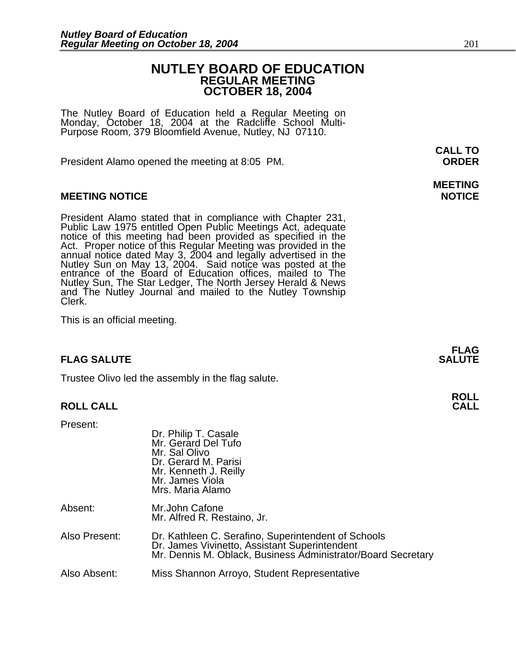### **NUTLEY BOARD OF EDUCATION REGULAR MEETING OCTOBER 18, 2004**

The Nutley Board of Education held a Regular Meeting on<br>Monday, October 18, 2004 at the Radcliffe School Multi-Purpose Room, 379 Bloomfield Avenue, Nutley, NJ 07110.

President Alamo opened the meeting at 8:05 PM. **ORDER**

### **MEETING NOTICE NOTICE**

President Alamo stated that in compliance with Chapter 231,<br>Public Law 1975 entitled Open Public Meetings Act, adequate<br>notice of this meeting had been provided as specified in the<br>Act. Proper notice of this Regular Meetin annual notice dated May 3, 2004 and legally advertised in the Nutley Sun on May 13, 2004. Said notice was posted at the entrance of the Board of Education offices, mailed to The Nutley Sun, The Star Ledger, The North Jersey Herald & News<br>and The Nutley Journal and mailed to the Nutley Township<br>Clerk.

This is an official meeting.

### **FLAG SALUTE SALUTE SALUTE**

Trustee Olivo led the assembly in the flag salute.

### **ROLL CALL CALL**

Present:

|               | Dr. Philip T. Casale<br>Mr. Gerard Del Tufo<br>Mr. Sal Olivo<br>Dr. Gerard M. Parisi<br>Mr. Kenneth J. Reilly<br>Mr. James Viola<br>Mrs. Maria Alamo                 |
|---------------|----------------------------------------------------------------------------------------------------------------------------------------------------------------------|
| Absent:       | Mr.John Cafone<br>Mr. Alfred R. Restaino, Jr.                                                                                                                        |
| Also Present: | Dr. Kathleen C. Serafino, Superintendent of Schools<br>Dr. James Vivinetto, Assistant Superintendent<br>Mr. Dennis M. Oblack, Business Administrator/Board Secretary |
| Also Absent:  | Miss Shannon Arroyo, Student Representative                                                                                                                          |

**CALL TO** 

# **MEETING**

**FLAG** 

# **ROLL**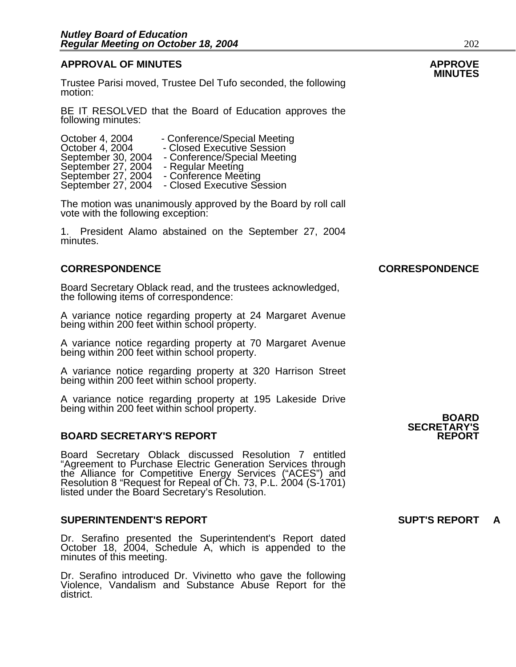### **APPROVAL OF MINUTES APPROVE**

Trustee Parisi moved, Trustee Del Tufo seconded, the following motion:

BE IT RESOLVED that the Board of Education approves the following minutes:

| October 4, 2004    | - Conference/Special Meeting |
|--------------------|------------------------------|
| October 4, 2004    | - Closed Executive Session   |
| September 30, 2004 | - Conference/Special Meeting |
| September 27, 2004 | - Regular Meeting            |
| September 27, 2004 | - Conference Meeting         |
| September 27, 2004 | - Closed Executive Session   |
|                    |                              |

The motion was unanimously approved by the Board by roll call vote with the following exception:

1. President Alamo abstained on the September 27, 2004 minutes.

### **CORRESPONDENCE CORRESPONDENCE**

Board Secretary Oblack read, and the trustees acknowledged, the following items of correspondence:

A variance notice regarding property at 24 Margaret Avenue being within 200 feet within school property.

A variance notice regarding property at 70 Margaret Avenue being within 200 feet within school property.

A variance notice regarding property at 320 Harrison Street being within 200 feet within school property.

A variance notice regarding property at 195 Lakeside Drive<br>being within 200 feet within school property.<br>**BOARD** 

#### **BOARD SECRETARY'S REPORT**

Board Secretary Oblack discussed Resolution 7 entitled "Agreement to Purchase Electric Generation Services through the Alliance for Competitive Energy Services ("ACES") and Resolution 8 "Request for Repeal of Ch. 73, P.L. 2004 (S-1701)<br>listed under the Board Secretary's Resolution.

#### **SUPERINTENDENT'S REPORT SUPT'S REPORT**

Dr. Serafino presented the Superintendent's Report dated October 18, 2004, Schedule A, which is appended to the minutes of this meeting.

Dr. Serafino introduced Dr. Vivinetto who gave the following Violence, Vandalism and Substance Abuse Report for the district.

**SECRETARY'S**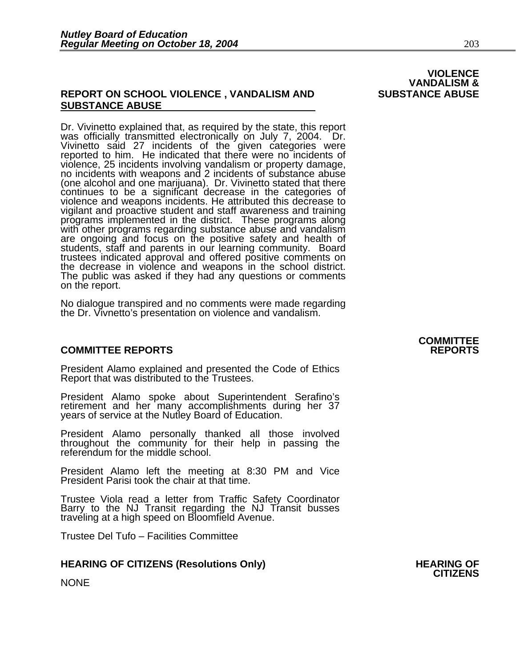### **REPORT ON SCHOOL VIOLENCE , VANDALISM AND SUBSTANCE ABUSE SUBSTANCE ABUSE**

Dr. Vivinetto explained that, as required by the state, this report was officially transmitted electronically on July 7, 2004. Dr. Vivinetto said 27 incidents of the given categories were reported to him. He indicated that violence, 25 incidents involving vandalism or property damage, no incidents with weapons and 2 incidents of substance abuse (one alcohol and one marijuana). Dr. Vivinetto stated that there continues to be a significant decrease in the categories of violence and weapons incidents. He attributed this decrease to programs implemented in the district. These programs along with other programs regarding substance abuse and vandalism are ongoing and focus on the positive safety and health of students, staff and parents in our learning community. Board trustees indicated approval and offered positive comments on<br>the decrease in violence and weapons in the school district.<br>The public was asked if they had any questions or comments<br>on the report.

No dialogue transpired and no comments were made regarding the Dr. Vivnetto's presentation on violence and vandalism.

### **COMMITTEE REPORTS REPORTS**

President Alamo explained and presented the Code of Ethics Report that was distributed to the Trustees.

President Alamo spoke about Superintendent Serafino's retirement and her many accomplishments during her 37 years of service at the Nutley Board of Education.

President Alamo personally thanked all those involved throughout the community for their help in passing the referendum for the middle school.

President Alamo left the meeting at 8:30 PM and Vice President Parisi took the chair at that time.

Trustee Viola read a letter from Traffic Safety Coordinator Barry to the NJ Transit regarding the NJ Transit busses traveling at a high speed on Bloomfield Avenue.

Trustee Del Tufo – Facilities Committee

### **HEARING OF CITIZENS (Resolutions Only) HEARING OF CITIZENS**

NONE

### **VIOLENCE VANDALISM &**

## **COMMITTEE**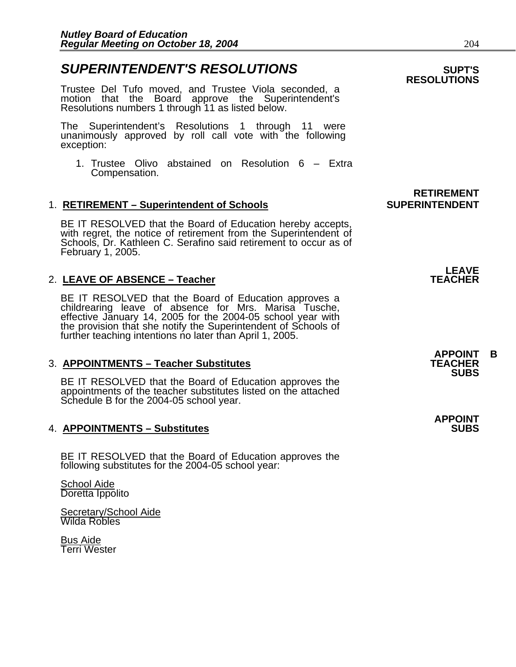### **SUPERINTENDENT'S RESOLUTIONS EXAMPLE ASSESSED ASSESSED ASSESSED ASSESSED ASSESSED ASSESSED ASSESSED ASSESSED ASSESSED ASSESSED ASSESSED ASSESSED ASSESSED ASSESSED ASSESSED ASSESSED ASSESSED ASSESSED ASSESSED ASSESSED AS**

Trustee Del Tufo moved, and Trustee Viola seconded, a motion that the Board approve the Superintendent's Resolutions numbers 1 through 11 as listed below.

The Superintendent's Resolutions 1 through 11 were unanimously approved by roll call vote with the following exception:

1. Trustee Olivo abstained on Resolution 6 – Extra Compensation.

### 1. **RETIREMENT – Superintendent of Schools SUPERINTENDENT**

BE IT RESOLVED that the Board of Education hereby accepts, with regret, the notice of retirement from the Superintendent of Schools, Dr. Kathleen C. Serafino said retirement to occur as of February 1, 2005.

#### **LEAVE**  2. **LEAVE OF ABSENCE – Teacher TEACHER**

BE IT RESOLVED that the Board of Education approves a childrearing leave of absence for Mrs. Marisa Tusche, effective January 14, 2005 for the 2004-05 school year with the provision that she notify the Superintendent of Schools of further teaching intentions no later than April 1, 2005.

### **3. APPOINTMENTS – Teacher Substitutes**

BE IT RESOLVED that the Board of Education approves the appointments of the teacher substitutes listed on the attached Schedule B for the 2004-05 school year.

### **4. APPOINTMENTS – Substitutes**

BE IT RESOLVED that the Board of Education approves the following substitutes for the 2004-05 school year:

School Aide Doretta Ippolito

Secretary/School Aide Wilda Robles

Bus Aide Terri Wester

## **RESOLUTIONS**

# **RETIREMENT**

**APPOINT B SUBS** 

**APPOINT**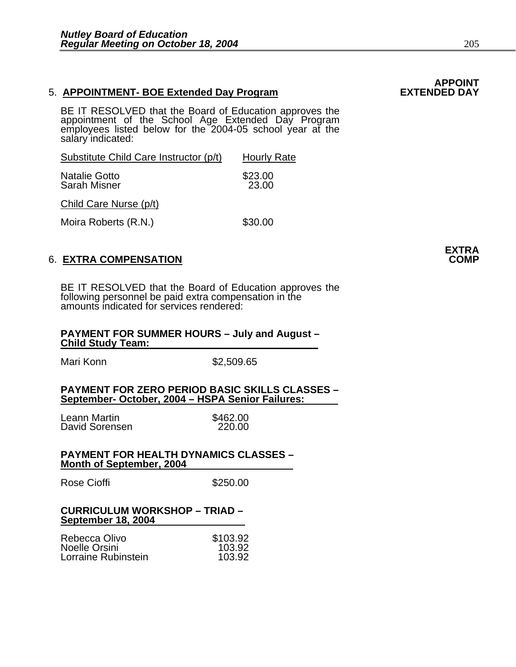#### 5. **APPOINTMENT- BOE Extended Day Program**

BE IT RESOLVED that the Board of Education approves the appointment of the School Age Extended Day Program employees listed below for the 2004-05 school year at the salary indicated:

| Substitute Child Care Instructor (p/t) | <b>Hourly Rate</b> |
|----------------------------------------|--------------------|
| Natalie Gotto                          | \$23.00            |
| Sarah Misner                           | 23.00              |

Child Care Nurse (p/t)

Moira Roberts (R.N.) \$30.00

### 6. **EXTRA COMPENSATION COMP**

BE IT RESOLVED that the Board of Education approves the following personnel be paid extra compensation in the amounts indicated for services rendered:

#### **PAYMENT FOR SUMMER HOURS – July and August – Child Study Team:**

Mari Konn \$2,509.65

#### **PAYMENT FOR ZERO PERIOD BASIC SKILLS CLASSES – September- October, 2004 – HSPA Senior Failures:**

Leann Martin \$462.00 David Sorensen

#### **PAYMENT FOR HEALTH DYNAMICS CLASSES – Month of September, 2004**

Rose Cioffi **\$250.00** 

#### **CURRICULUM WORKSHOP – TRIAD – September 18, 2004**

| Rebecca Olivo       | \$103.92 |
|---------------------|----------|
| Noelle Orsini       | 103.92   |
| Lorraine Rubinstein | 103.92   |

**APPOINT** 

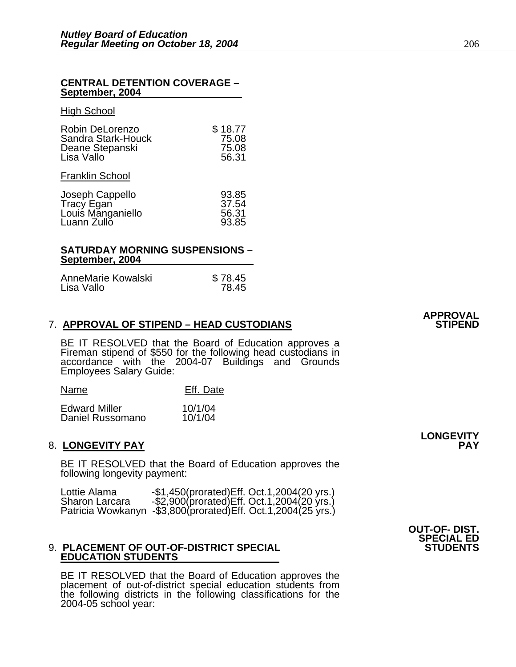#### **CENTRAL DETENTION COVERAGE – September, 2004**

#### High School

| Robin DeLorenzo<br>Sandra Stark-Houck<br>Deane Stepanski<br>Lisa Vallo | \$18.77<br>75.08<br>75.08<br>56.31 |
|------------------------------------------------------------------------|------------------------------------|
| <b>Franklin School</b>                                                 |                                    |
| Joseph Cappello                                                        | 93.85                              |

| JUSEDII GADDEIIU  | ່ ວົງ.ດວ |
|-------------------|----------|
| Tracy Egan        | 37.54    |
| Louis Manganiello | 56.31    |
| Luann Zullo       | 93.85    |
|                   |          |

#### **SATURDAY MORNING SUSPENSIONS – September, 2004**

| AnneMarie Kowalski | \$78.45 |
|--------------------|---------|
| Lisa Vallo         | 78.45   |

#### **7. APPROVAL OF STIPEND – HEAD CUSTODIANS**

BE IT RESOLVED that the Board of Education approves a Fireman stipend of \$550 for the following head custodians in accordance with the 2004-07 Buildings and Grounds Employees Salary Guide:

| Name                 | Eff. Date |  |
|----------------------|-----------|--|
| <b>Edward Miller</b> | 10/1/04   |  |
| Daniel Russomano     | 10/1/04   |  |

#### 8. LONGEVITY PAY

BE IT RESOLVED that the Board of Education approves the following longevity payment:

| Lottie Alama   | $-$1,450$ (prorated) Eff. Oct. 1, 2004 (20 yrs.)              |
|----------------|---------------------------------------------------------------|
| Sharon Larcara | $-$ \$2,900(prorated) Eff. Oct.1,2004(20 yrs.)                |
|                | Patricia Wowkanyn -\$3,800(prorated) Eff. Oct.1,2004(25 yrs.) |

#### 9. PLACEMENT OF OUT-OF-DISTRICT SPECIAL **EDUCATION STUDENTS**

BE IT RESOLVED that the Board of Education approves the placement of out-of-district special education students from the following districts in the following classifications for the 2004-05 school year:

**OUT-OF- DIST. SPECIAL ED** 

# **APPROVAL**

**LONGEVITY**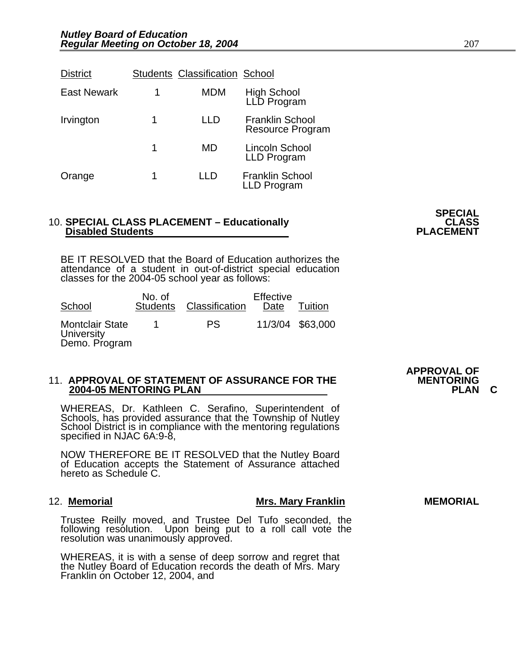| <b>District</b>    |   | <b>Students Classification School</b> |                                                   |
|--------------------|---|---------------------------------------|---------------------------------------------------|
| <b>East Newark</b> | 1 | MDM                                   | High School<br>LLD Program                        |
| Irvington          | 1 |                                       | <b>Franklin School</b><br><b>Resource Program</b> |
|                    | 1 | MD                                    | Lincoln School<br>LLD Program                     |
| Orange             | 1 |                                       | <b>Franklin School</b><br>LLD Program             |

## 10. SPECIAL CLASS PLACEMENT – Educationally **CLASS** CLASS<br>PLACEMENT **PLACEMENT**

BE IT RESOLVED that the Board of Education authorizes the attendance of a student in out-of-district special education classes for the 2004-05 school year as follows:

| School                                                | No. of<br><b>Students</b> | Classification | Effective<br>Date | Tuition          |
|-------------------------------------------------------|---------------------------|----------------|-------------------|------------------|
| <b>Montclair State</b><br>University<br>Demo. Program |                           | P.S.           |                   | 11/3/04 \$63,000 |

## 11. APPROVAL OF STATEMENT OF ASSURANCE FOR THE **MENTORING**<br>2004-05 MENTORING PLAN

WHEREAS, Dr. Kathleen C. Serafino, Superintendent of Schools, has provided assurance that the Township of Nutley School District is in compliance with the mentoring regulations specified in NJAC 6A:9-8,

NOW THEREFORE BE IT RESOLVED that the Nutley Board of Education accepts the Statement of Assurance attached hereto as Schedule C.

#### 12. Memorial **Mrs. Mary Franklin** Mrs. Mary Franklin MEMORIAL

Trustee Reilly moved, and Trustee Del Tufo seconded, the following resolution. Upon being put to a roll call vote the<br>resolution was unanimously approved.

WHEREAS, it is with a sense of deep sorrow and regret that the Nutley Board of Education records the death of Mrs. Mary Franklin on October 12, 2004, and

**APPROVAL OF** 

**SPECIAL**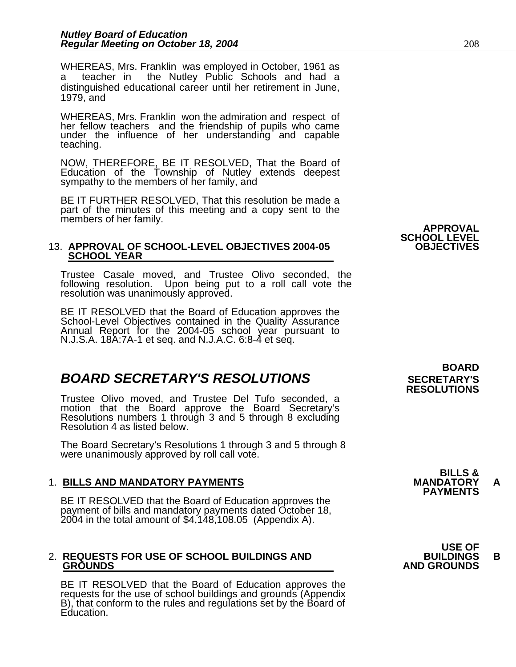WHEREAS, Mrs. Franklin was employed in October, 1961 as a teacher in the Nutley Public Schools and had a distinguished educational career until her retirement in June, 1979, and

WHEREAS, Mrs. Franklin won the admiration and respect of her fellow teachers and the friendship of pupils who came under the influence of her understanding and capable teaching.

NOW, THEREFORE, BE IT RESOLVED, That the Board of Education of the Township of Nutley extends deepest sympathy to the members of her family, and

BE IT FURTHER RESOLVED, That this resolution be made a part of the minutes of this meeting and a copy sent to the members of her family.<br>**APPROVAL** 

### 13. APPROVAL OF SCHOOL-LEVEL OBJECTIVES 2004-05  **SCHOOL YEAR**

Trustee Casale moved, and Trustee Olivo seconded, the following resolution. Upon being put to a roll call vote the resolution was unanimously approved.

BE IT RESOLVED that the Board of Education approves the School-Level Objectives contained in the Quality Assurance Annual Report for the 2004-05 school year pursuant to N.J.S.A. 18A:7A-1 et seq. and N.J.A.C. 6:8-4 et seq.

### **BOARD SECRETARY'S RESOLUTIONS** SECRETARY'S

Trustee Olivo moved, and Trustee Del Tufo seconded, a motion that the Board approve the Board Secretary's<br>Resolutions numbers 1 through 3 and 5 through 8 excluding<br>Resolution 4 as listed below.

The Board Secretary's Resolutions 1 through 3 and 5 through 8 were unanimously approved by roll call vote.

1. BILLS AND MANDATORY PAYMENTS<br>BE IT RESOLVED that the Board of Education approves the **PAYMENTS** payment of bills and mandatory payments dated October 18, 2004 in the total amount of \$4,148,108.05 (Appendix A).

## 2. **REQUESTS FOR USE OF SCHOOL BUILDINGS AND BUILDINGS B**

BE IT RESOLVED that the Board of Education approves the requests for the use of school buildings and grounds (Appendix B), that conform to the rules and regulations set by the Board of Education.

 **BOARD RESOLUTIONS** 

**SCHOOL LEVEL** 

**BILLS &** 

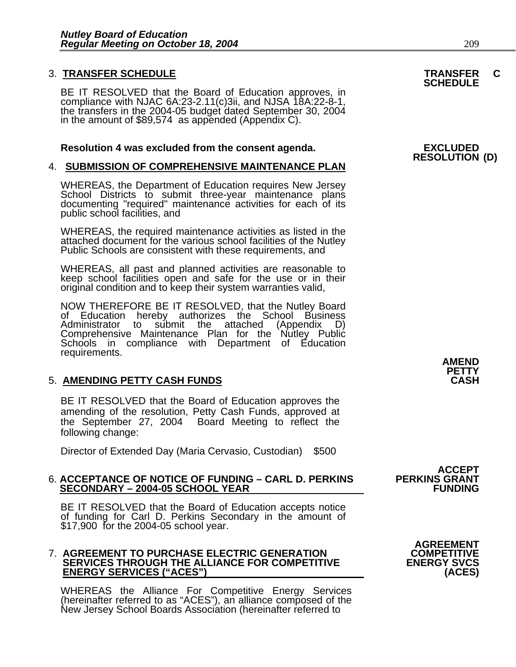### 3. **TRANSFER SCHEDULE TRANSFER C SCHEDULE**

BE IT RESOLVED that the Board of Education approves, in compliance with NJAC 6A:23-2.11(c)3ii, and NJSA 18A:22-8-1, the transfers in the 2004-05 budget dated September 30, 2004 in the amount of \$89,574 as appended (Appendi

#### **Resolution 4 was excluded from the consent agenda. EXCLUDED**

### 4. **SUBMISSION OF COMPREHENSIVE MAINTENANCE PLAN**

WHEREAS, the Department of Education requires New Jersey<br>School Districts to submit three-year maintenance plans<br>documenting "required" maintenance activities for each of its public school facilities, and

WHEREAS, the required maintenance activities as listed in the attached document for the various school facilities of the Nutley Public Schools are consistent with these requirements, and

WHEREAS, all past and planned activities are reasonable to keep school facilities open and safe for the use or in their original condition and to keep their system warranties valid,

NOW THEREFORE BE IT RESOLVED, that the Nutley Board of Education hereby authorizes the School Business Administrator to submit the attached (Appendix D) Schools in compliance with Department of Education requirements.

### **5. AMENDING PETTY CASH FUNDS**

BE IT RESOLVED that the Board of Education approves the amending of the resolution, Petty Cash Funds, approved at the September 27, 2004 Board Meeting to reflect the following change:

Director of Extended Day (Maria Cervasio, Custodian) \$500

## 6. **ACCEPTANCE OF NOTICE OF FUNDING – CARL D. PERKINS PERKINS GRANT SECONDARY – 2004-05 SCHOOL YEAR FUNDING**

BE IT RESOLVED that the Board of Education accepts notice of funding for Carl D. Perkins Secondary in the amount of \$17,900 for the 2004-05 school year.

#### 7. **AGREEMENT TO PURCHASE ELECTRIC GENERATION COMPETITIVE SERVICES THROUGH THE ALLIANCE FOR COMPETITIVE ENERGY SERVICES ("ACES") (ACES)**

WHEREAS the Alliance For Competitive Energy Services (hereinafter referred to as "ACES"), an alliance composed of the New Jersey School Boards Association (hereinafter referred to

## **RESOLUTION (D)**

**AMEND PETTY** 

**ACCEPT<br>PERKINS GRANT** 

**AGREEMENT**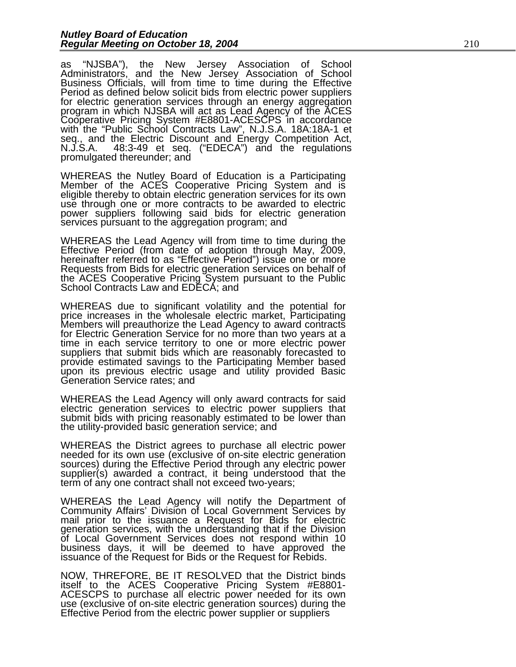as "NJSBA"), the New Jersey Association of School Administrators, and the New Jersey Association of School Business Officials, will from time to time during the Effective Period as defined below solicit bids from electric power suppliers<br>for electric generation services through an energy aggregation<br>program in which NJSBA will act as Lead Agency of the ACES Cooperative Pricing System #E8801-ACESCPS in accordance with the "Public School Contracts Law", N.J.S.A. 18A:18A-1 et seq., and the Electric Discount and Energy Competition Act, N.J.S.A. 48:3-49 et seq. ("EDECA") and the regulations<br>promulgated thereunder; and

WHEREAS the Nutley Board of Education is a Participating<br>Member of the ACES Cooperative Pricing System and is Member of the ACES Cooperative Pricing System and is<br>eligible thereby to obtain electric generation services for its own<br>use through one or more contracts to be awarded to electric power suppliers following said bids for electric generation<br>services pursuant to the aggregation program; and

WHEREAS the Lead Agency will from time to time during the Effective Period (from date of adoption through May, 2009, hereinafter referred to as "Effective Period") issue one or more Requests from Bids for electric generati the ACES Cooperative Pricing System pursuant to the Public School Contracts Law and EDECA; and

WHEREAS due to significant volatility and the potential for price increases in the wholesale electric market, Participating<br>Members will preauthorize the Lead Agency to award contracts<br>for Electric Generation Service for no more than two years at a<br>time in each service territory to provide estimated savings to the Participating Member based<br>upon its previous electric usage and utility provided Basic<br>Generation Service rates; and

WHEREAS the Lead Agency will only award contracts for said electric generation services to electric power suppliers that submit bids with pricing reasonably estimated to be lower than the utility-provided basic generation service; and

WHEREAS the District agrees to purchase all electric power needed for its own use (exclusive of on-site electric generation sources) during the Effective Period through any electric power supplier(s) awarded a contract, it being understood that the term of any one contract shall not exceed two-years;

WHEREAS the Lead Agency will notify the Department of Community Affairs' Division of Local Government Services by mail prior to the issuance a Request for Bids for electric generation services, with the understanding that if the Division of Local Government Services does not respond within 10 business days, it will be deemed to have approved the issuance of the Request for Bids or the Request for Rebids.

NOW, THREFORE, BE IT RESOLVED that the District binds itself to the ACES Cooperative Pricing System #E8801-<br>ACESCPS to purchase all electric power needed for its own<br>use (exclusive of on-site electric generation sources) during the<br>Effective Period from the electric power sup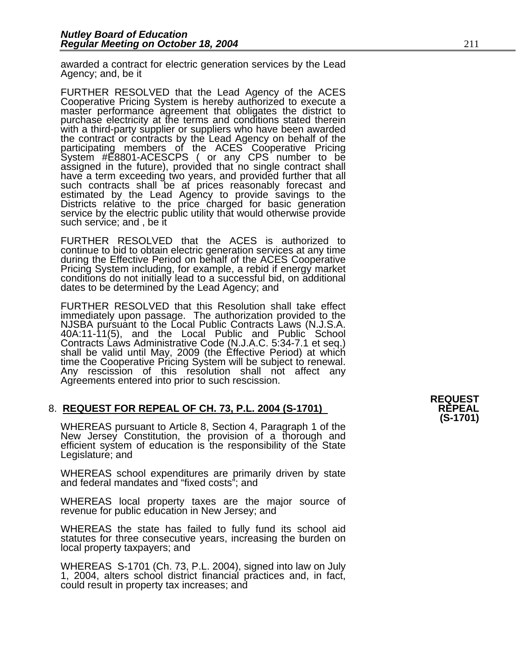awarded a contract for electric generation services by the Lead Agency; and, be it

FURTHER RESOLVED that the Lead Agency of the ACES<br>Cooperative Pricing System is hereby authorized to execute a<br>master performance agreement that obligates the district to<br>purchase electricity at the terms and conditions st with a third-party supplier or suppliers who have been awarded the contract or contracts by the Lead Agency on behalf of the participating members of the ACES Cooperative Pricing<br>System #E8801-ACESCPS (or any CPS number to be<br>assigned in the future), provided that no single contract shall<br>have a term exceeding two years, and provided further tha such contracts shall be at prices reasonably forecast and estimated by the Lead Agency to provide savings to the Districts relative to the price charged for basic generation service by the electric public utility that would otherwise provide such service; and , be it

FURTHER RESOLVED that the ACES is authorized to continue to bid to obtain electric generation services at any time<br>during the Effective Period on behalf of the ACES Cooperative<br>Pricing System including, for example, a rebid if energy market<br>conditions do not initially l dates to be determined by the Lead Agency; and

FURTHER RESOLVED that this Resolution shall take effect immediately upon passage. The authorization provided to the NJSBA pursuant to the Local Public Contracts Laws (N.J.S.A. 40A:11-11(5), and the Local Public and Public School Contracts Laws Administrative Code (N.J.A.C. 5:34-7.1 et seq.) shall be valid until May, 2009 (the Effective Period) at which time the Cooperative Pricing System will be subject to renewal. Any rescission of this resolution shall not affect any Agreements entered into prior to such rescission.

## 8. **REQUEST FOR REPEAL OF CH. 73, P.L. 2004 (S-1701) REPEAL**

WHEREAS pursuant to Article 8, Section 4, Paragraph 1 of the New Jersey Constitution, the provision of a thorough and efficient system of education is the responsibility of the State Legislature; and

WHEREAS school expenditures are primarily driven by state and federal mandates and "fixed costs"; and

WHEREAS local property taxes are the major source of revenue for public education in New Jersey; and

WHEREAS the state has failed to fully fund its school aid statutes for three consecutive years, increasing the burden on local property taxpayers; and

WHEREAS S-1701 (Ch. 73, P.L. 2004), signed into law on July 1, 2004, alters school district financial practices and, in fact, could result in property tax increases; and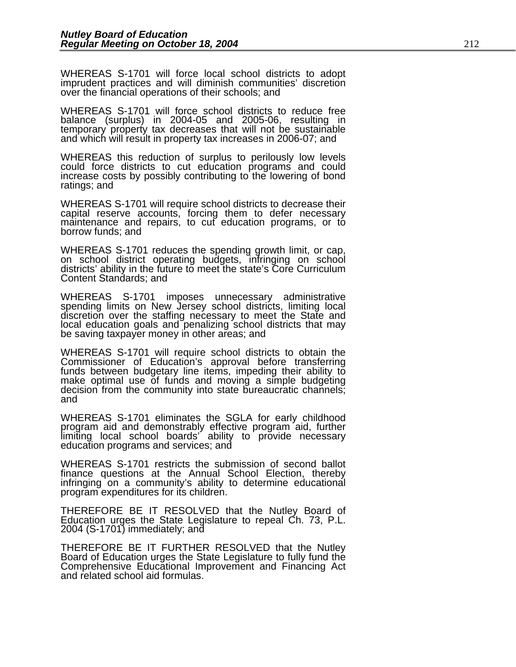WHEREAS S-1701 will force local school districts to adopt imprudent practices and will diminish communities' discretion over the financial operations of their schools; and

WHEREAS S-1701 will force school districts to reduce free balance (surplus) in 2004-05 and 2005-06, resulting in temporary property tax decreases that will not be sustainable and which will result in property tax increases in 2006-07; and

WHEREAS this reduction of surplus to perilously low levels could force districts to cut education programs and could increase costs by possibly contributing to the lowering of bond ratings; and

WHEREAS S-1701 will require school districts to decrease their capital reserve accounts, forcing them to defer necessary maintenance and repairs, to cut education programs, or to borrow funds; and

WHEREAS S-1701 reduces the spending growth limit, or cap, on school district operating budgets, infringing on school districts' ability in the future to meet the state's Core Curriculum Content Standards; and

WHEREAS S-1701 imposes unnecessary administrative spending limits on New Jersey school districts, limiting local discretion over the staffing necessary to meet the State and<br>local education goals and penalizing school districts that may<br>be saving taxpayer money in other areas; and

WHEREAS S-1701 will require school districts to obtain the Commissioner of Education's approval before transferring funds between budgetary line items, impeding their ability to make optimal use of funds and moving a simple budgeting decision from the community into state bureaucratic channels; and

WHEREAS S-1701 eliminates the SGLA for early childhood program aid and demonstrably effective program aid, further<br>limiting local school boards' ability to provide necessary<br>education programs and services; and

WHEREAS S-1701 restricts the submission of second ballot finance questions at the Annual School Election, thereby infringing on a community's ability to determine educational program expenditures for its children.

THEREFORE BE IT RESOLVED that the Nutley Board of Education urges the State Legislature to repeal Ch. 73, P.L. 2004 (S-1701) immediately; and

THEREFORE BE IT FURTHER RESOLVED that the Nutley Board of Education urges the State Legislature to fully fund the Comprehensive Educational Improvement and Financing Act and related school aid formulas.